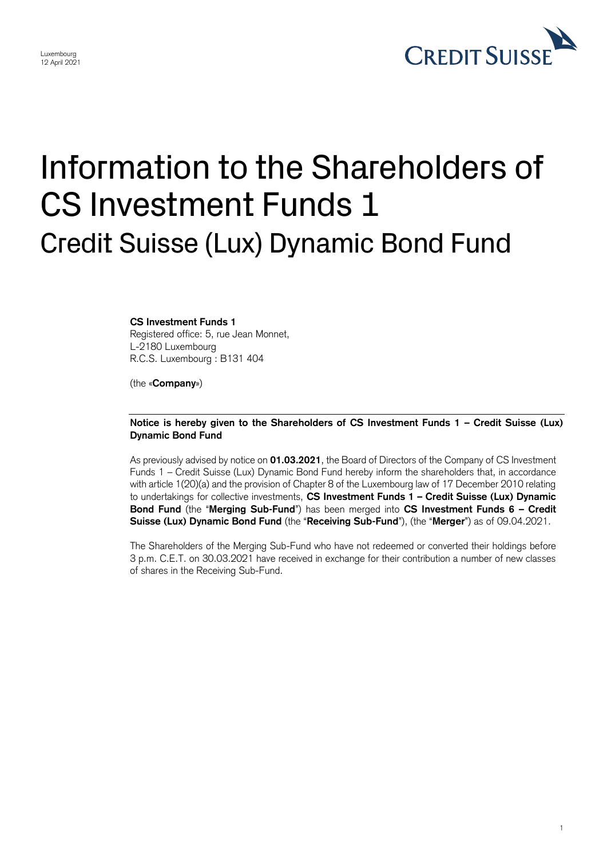

1

## Information to the Shareholders of CS Investment Funds 1 Credit Suisse (Lux) Dynamic Bond Fund

**CS Investment Funds 1**  Registered office: 5, rue Jean Monnet, L-2180 Luxembourg R.C.S. Luxembourg : B131 404

(the «**Company**»)

## **Notice is hereby given to the Shareholders of CS Investment Funds 1 – Credit Suisse (Lux) Dynamic Bond Fund**

 As previously advised by notice on **01.03.2021**, the Board of Directors of the Company of CS Investment Funds 1 – Credit Suisse (Lux) Dynamic Bond Fund hereby inform the shareholders that, in accordance with article 1(20)(a) and the provision of Chapter 8 of the Luxembourg law of 17 December 2010 relating to undertakings for collective investments, **CS Investment Funds 1 – Credit Suisse (Lux) Dynamic Bond Fund** (the "**Merging Sub-Fund**") has been merged into **CS Investment Funds 6 – Credit Suisse (Lux) Dynamic Bond Fund** (the "**Receiving Sub-Fund**"), (the "**Merger**") as of 09.04.2021.

 The Shareholders of the Merging Sub-Fund who have not redeemed or converted their holdings before 3 p.m. C.E.T. on 30.03.2021 have received in exchange for their contribution a number of new classes of shares in the Receiving Sub-Fund.